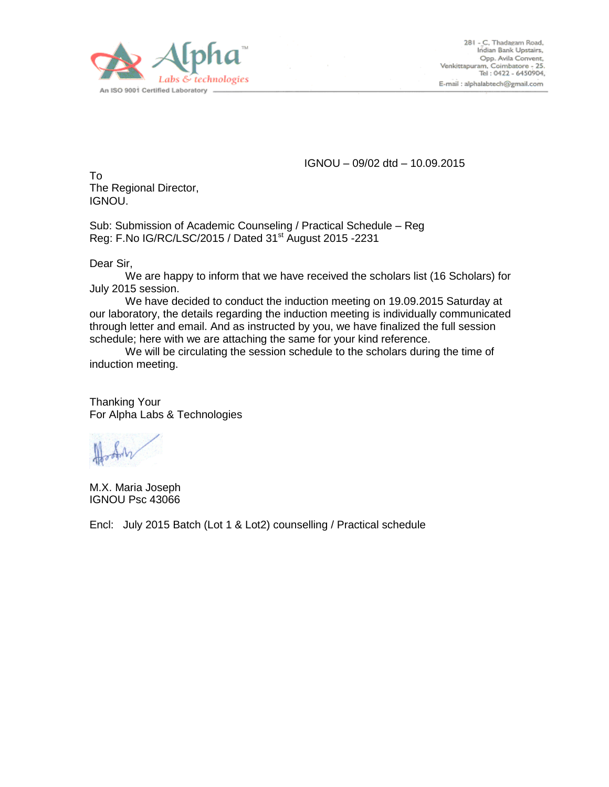

IGNOU – 09/02 dtd – 10.09.2015

To The Regional Director, IGNOU.

Sub: Submission of Academic Counseling / Practical Schedule – Reg Reg: F.No IG/RC/LSC/2015 / Dated 31st August 2015 -2231

Dear Sir,

We are happy to inform that we have received the scholars list (16 Scholars) for July 2015 session.

We have decided to conduct the induction meeting on 19.09.2015 Saturday at our laboratory, the details regarding the induction meeting is individually communicated through letter and email. And as instructed by you, we have finalized the full session schedule; here with we are attaching the same for your kind reference.

We will be circulating the session schedule to the scholars during the time of induction meeting.

Thanking Your For Alpha Labs & Technologies

M.X. Maria Joseph IGNOU Psc 43066

Encl: July 2015 Batch (Lot 1 & Lot2) counselling / Practical schedule